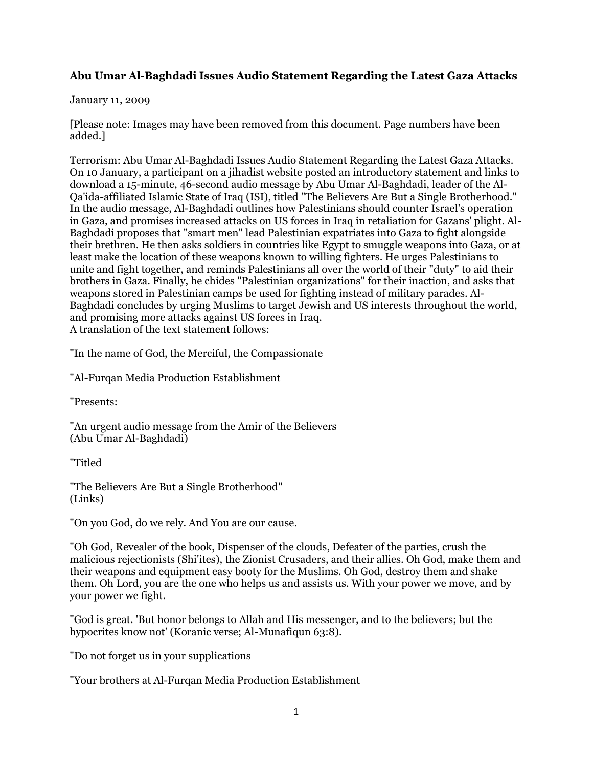## **Abu Umar Al-Baghdadi Issues Audio Statement Regarding the Latest Gaza Attacks**

## January 11, 2009

[Please note: Images may have been removed from this document. Page numbers have been added.]

Terrorism: Abu Umar Al-Baghdadi Issues Audio Statement Regarding the Latest Gaza Attacks. On 10 January, a participant on a jihadist website posted an introductory statement and links to download a 15-minute, 46-second audio message by Abu Umar Al-Baghdadi, leader of the Al-Qa'ida-affiliated Islamic State of Iraq (ISI), titled "The Believers Are But a Single Brotherhood." In the audio message, Al-Baghdadi outlines how Palestinians should counter Israel's operation in Gaza, and promises increased attacks on US forces in Iraq in retaliation for Gazans' plight. Al-Baghdadi proposes that "smart men" lead Palestinian expatriates into Gaza to fight alongside their brethren. He then asks soldiers in countries like Egypt to smuggle weapons into Gaza, or at least make the location of these weapons known to willing fighters. He urges Palestinians to unite and fight together, and reminds Palestinians all over the world of their "duty" to aid their brothers in Gaza. Finally, he chides "Palestinian organizations" for their inaction, and asks that weapons stored in Palestinian camps be used for fighting instead of military parades. Al-Baghdadi concludes by urging Muslims to target Jewish and US interests throughout the world, and promising more attacks against US forces in Iraq. A translation of the text statement follows:

"In the name of God, the Merciful, the Compassionate

"Al-Furqan Media Production Establishment

"Presents:

"An urgent audio message from the Amir of the Believers (Abu Umar Al-Baghdadi)

"Titled

"The Believers Are But a Single Brotherhood" (Links)

"On you God, do we rely. And You are our cause.

"Oh God, Revealer of the book, Dispenser of the clouds, Defeater of the parties, crush the malicious rejectionists (Shi'ites), the Zionist Crusaders, and their allies. Oh God, make them and their weapons and equipment easy booty for the Muslims. Oh God, destroy them and shake them. Oh Lord, you are the one who helps us and assists us. With your power we move, and by your power we fight.

"God is great. 'But honor belongs to Allah and His messenger, and to the believers; but the hypocrites know not' (Koranic verse; Al-Munafiqun 63:8).

"Do not forget us in your supplications

"Your brothers at Al-Furqan Media Production Establishment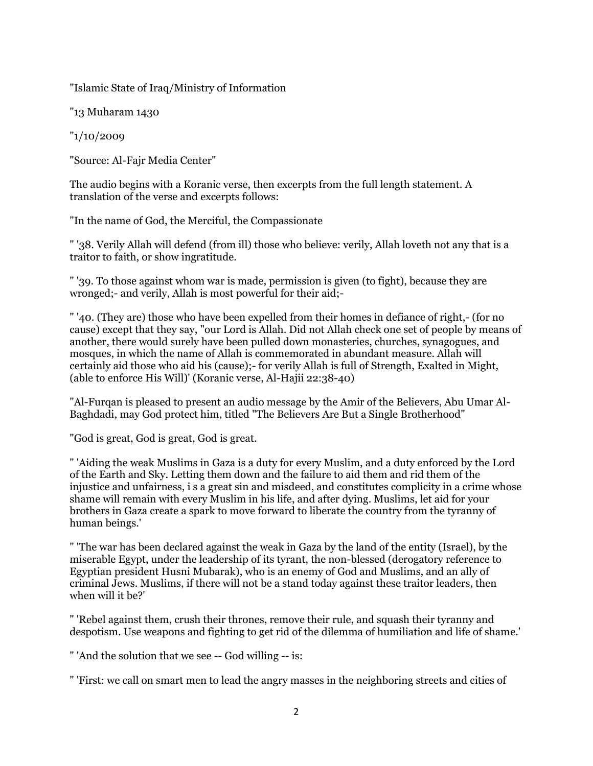"Islamic State of Iraq/Ministry of Information

"13 Muharam 1430

"1/10/2009

"Source: Al-Fajr Media Center"

The audio begins with a Koranic verse, then excerpts from the full length statement. A translation of the verse and excerpts follows:

"In the name of God, the Merciful, the Compassionate

" '38. Verily Allah will defend (from ill) those who believe: verily, Allah loveth not any that is a traitor to faith, or show ingratitude.

" '39. To those against whom war is made, permission is given (to fight), because they are wronged;- and verily, Allah is most powerful for their aid;-

" '40. (They are) those who have been expelled from their homes in defiance of right,- (for no cause) except that they say, "our Lord is Allah. Did not Allah check one set of people by means of another, there would surely have been pulled down monasteries, churches, synagogues, and mosques, in which the name of Allah is commemorated in abundant measure. Allah will certainly aid those who aid his (cause);- for verily Allah is full of Strength, Exalted in Might, (able to enforce His Will)' (Koranic verse, Al-Hajii 22:38-40)

"Al-Furqan is pleased to present an audio message by the Amir of the Believers, Abu Umar Al-Baghdadi, may God protect him, titled "The Believers Are But a Single Brotherhood"

"God is great, God is great, God is great.

" 'Aiding the weak Muslims in Gaza is a duty for every Muslim, and a duty enforced by the Lord of the Earth and Sky. Letting them down and the failure to aid them and rid them of the injustice and unfairness, i s a great sin and misdeed, and constitutes complicity in a crime whose shame will remain with every Muslim in his life, and after dying. Muslims, let aid for your brothers in Gaza create a spark to move forward to liberate the country from the tyranny of human beings.'

" 'The war has been declared against the weak in Gaza by the land of the entity (Israel), by the miserable Egypt, under the leadership of its tyrant, the non-blessed (derogatory reference to Egyptian president Husni Mubarak), who is an enemy of God and Muslims, and an ally of criminal Jews. Muslims, if there will not be a stand today against these traitor leaders, then when will it be?'

" 'Rebel against them, crush their thrones, remove their rule, and squash their tyranny and despotism. Use weapons and fighting to get rid of the dilemma of humiliation and life of shame.'

" 'And the solution that we see -- God willing -- is:

" 'First: we call on smart men to lead the angry masses in the neighboring streets and cities of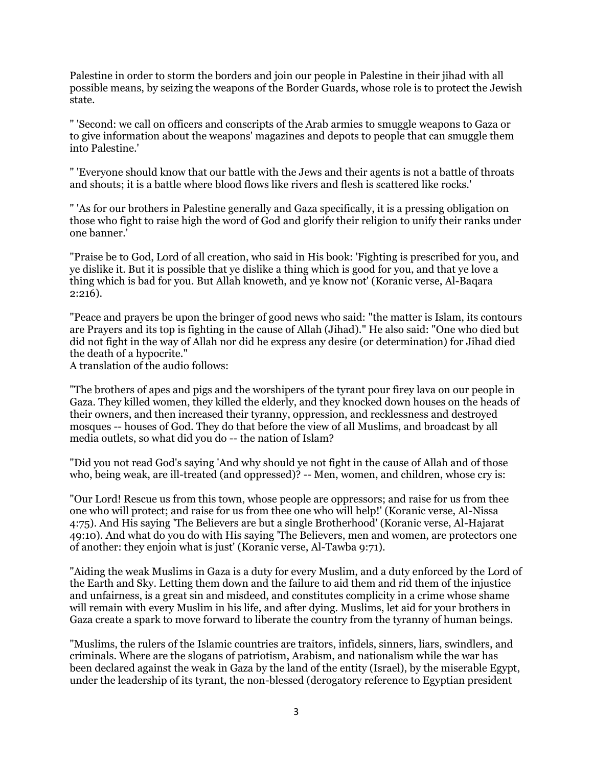Palestine in order to storm the borders and join our people in Palestine in their jihad with all possible means, by seizing the weapons of the Border Guards, whose role is to protect the Jewish state.

" 'Second: we call on officers and conscripts of the Arab armies to smuggle weapons to Gaza or to give information about the weapons' magazines and depots to people that can smuggle them into Palestine.'

" 'Everyone should know that our battle with the Jews and their agents is not a battle of throats and shouts; it is a battle where blood flows like rivers and flesh is scattered like rocks.'

" 'As for our brothers in Palestine generally and Gaza specifically, it is a pressing obligation on those who fight to raise high the word of God and glorify their religion to unify their ranks under one banner.'

"Praise be to God, Lord of all creation, who said in His book: 'Fighting is prescribed for you, and ye dislike it. But it is possible that ye dislike a thing which is good for you, and that ye love a thing which is bad for you. But Allah knoweth, and ye know not' (Koranic verse, Al-Baqara 2:216).

"Peace and prayers be upon the bringer of good news who said: "the matter is Islam, its contours are Prayers and its top is fighting in the cause of Allah (Jihad)." He also said: "One who died but did not fight in the way of Allah nor did he express any desire (or determination) for Jihad died the death of a hypocrite."

A translation of the audio follows:

"The brothers of apes and pigs and the worshipers of the tyrant pour firey lava on our people in Gaza. They killed women, they killed the elderly, and they knocked down houses on the heads of their owners, and then increased their tyranny, oppression, and recklessness and destroyed mosques -- houses of God. They do that before the view of all Muslims, and broadcast by all media outlets, so what did you do -- the nation of Islam?

"Did you not read God's saying 'And why should ye not fight in the cause of Allah and of those who, being weak, are ill-treated (and oppressed)? -- Men, women, and children, whose cry is:

"Our Lord! Rescue us from this town, whose people are oppressors; and raise for us from thee one who will protect; and raise for us from thee one who will help!' (Koranic verse, Al-Nissa 4:75). And His saying 'The Believers are but a single Brotherhood' (Koranic verse, Al-Hajarat 49:10). And what do you do with His saying 'The Believers, men and women, are protectors one of another: they enjoin what is just' (Koranic verse, Al-Tawba 9:71).

"Aiding the weak Muslims in Gaza is a duty for every Muslim, and a duty enforced by the Lord of the Earth and Sky. Letting them down and the failure to aid them and rid them of the injustice and unfairness, is a great sin and misdeed, and constitutes complicity in a crime whose shame will remain with every Muslim in his life, and after dying. Muslims, let aid for your brothers in Gaza create a spark to move forward to liberate the country from the tyranny of human beings.

"Muslims, the rulers of the Islamic countries are traitors, infidels, sinners, liars, swindlers, and criminals. Where are the slogans of patriotism, Arabism, and nationalism while the war has been declared against the weak in Gaza by the land of the entity (Israel), by the miserable Egypt, under the leadership of its tyrant, the non-blessed (derogatory reference to Egyptian president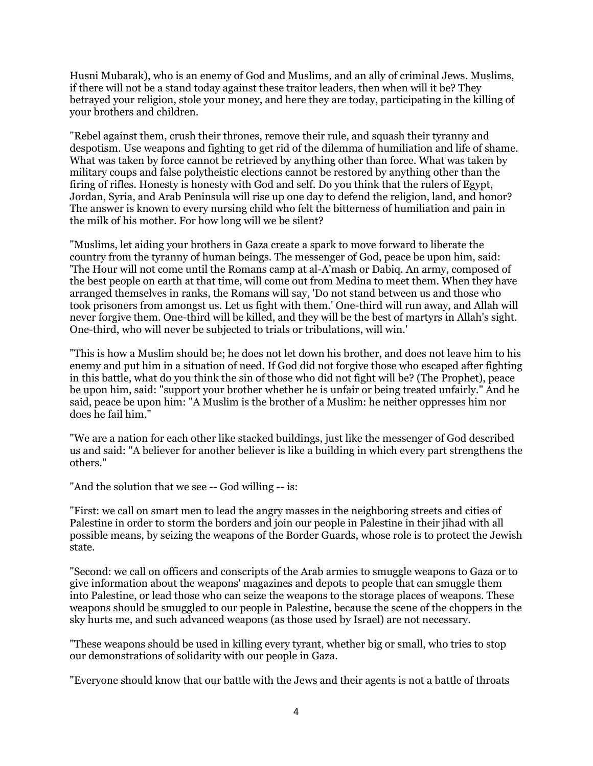Husni Mubarak), who is an enemy of God and Muslims, and an ally of criminal Jews. Muslims, if there will not be a stand today against these traitor leaders, then when will it be? They betrayed your religion, stole your money, and here they are today, participating in the killing of your brothers and children.

"Rebel against them, crush their thrones, remove their rule, and squash their tyranny and despotism. Use weapons and fighting to get rid of the dilemma of humiliation and life of shame. What was taken by force cannot be retrieved by anything other than force. What was taken by military coups and false polytheistic elections cannot be restored by anything other than the firing of rifles. Honesty is honesty with God and self. Do you think that the rulers of Egypt, Jordan, Syria, and Arab Peninsula will rise up one day to defend the religion, land, and honor? The answer is known to every nursing child who felt the bitterness of humiliation and pain in the milk of his mother. For how long will we be silent?

"Muslims, let aiding your brothers in Gaza create a spark to move forward to liberate the country from the tyranny of human beings. The messenger of God, peace be upon him, said: 'The Hour will not come until the Romans camp at al-A'mash or Dabiq. An army, composed of the best people on earth at that time, will come out from Medina to meet them. When they have arranged themselves in ranks, the Romans will say, 'Do not stand between us and those who took prisoners from amongst us. Let us fight with them.' One-third will run away, and Allah will never forgive them. One-third will be killed, and they will be the best of martyrs in Allah's sight. One-third, who will never be subjected to trials or tribulations, will win.'

"This is how a Muslim should be; he does not let down his brother, and does not leave him to his enemy and put him in a situation of need. If God did not forgive those who escaped after fighting in this battle, what do you think the sin of those who did not fight will be? (The Prophet), peace be upon him, said: "support your brother whether he is unfair or being treated unfairly." And he said, peace be upon him: "A Muslim is the brother of a Muslim: he neither oppresses him nor does he fail him."

"We are a nation for each other like stacked buildings, just like the messenger of God described us and said: "A believer for another believer is like a building in which every part strengthens the others."

"And the solution that we see -- God willing -- is:

"First: we call on smart men to lead the angry masses in the neighboring streets and cities of Palestine in order to storm the borders and join our people in Palestine in their jihad with all possible means, by seizing the weapons of the Border Guards, whose role is to protect the Jewish state.

"Second: we call on officers and conscripts of the Arab armies to smuggle weapons to Gaza or to give information about the weapons' magazines and depots to people that can smuggle them into Palestine, or lead those who can seize the weapons to the storage places of weapons. These weapons should be smuggled to our people in Palestine, because the scene of the choppers in the sky hurts me, and such advanced weapons (as those used by Israel) are not necessary.

"These weapons should be used in killing every tyrant, whether big or small, who tries to stop our demonstrations of solidarity with our people in Gaza.

"Everyone should know that our battle with the Jews and their agents is not a battle of throats